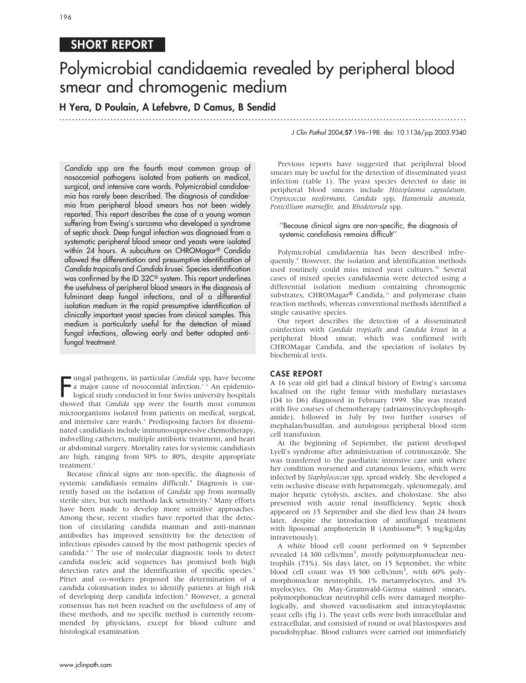# SHORT REPORT

# Polymicrobial candidaemia revealed by peripheral blood smear and chromogenic medium

H Yera, D Poulain, A Lefebvre, D Camus, B Sendid

.............................................................................................................................. .

Candida spp are the fourth most common group of nosocomial pathogens isolated from patients on medical, surgical, and intensive care wards. Polymicrobial candidaemia has rarely been described. The diagnosis of candidaemia from peripheral blood smears has not been widely reported. This report describes the case of a young woman suffering from Ewing's sarcoma who developed a syndrome of septic shock. Deep fungal infection was diagnosed from a systematic peripheral blood smear and yeasts were isolated within 24 hours. A subculture on CHROMagar® Candida allowed the differentiation and presumptive identification of Candida tropicalis and Candida krusei. Species identification was confirmed by the ID 32C<sup>®</sup> system. This report underlines the usefulness of peripheral blood smears in the diagnosis of fulminant deep fungal infections, and of a differential isolation medium in the rapid presumptive identification of clinically important yeast species from clinical samples. This medium is particularly useful for the detection of mixed fungal infections, allowing early and better adapted antifungal treatment.

Impal pathogens, in particular Candida spp, have become<br>a major cause of nosocomial infection.<sup>12</sup> An epidemio-<br>logical study conducted in four Swiss university hospitals<br>showed that *Candida* spp were the fourth most comm ungal pathogens, in particular Candida spp, have become a major cause of nosocomial infection.<sup>12</sup> An epidemiological study conducted in four Swiss university hospitals microorganisms isolated from patients on medical, surgical, and intensive care wards.<sup>3</sup> Predisposing factors for disseminated candidiasis include immunosuppressive chemotherapy, indwelling catheters, multiple antibiotic treatment, and heart or abdominal surgery. Mortality rates for systemic candidiasis are high, ranging from 50% to 80%, despite appropriate treatment.<sup>2</sup>

Because clinical signs are non-specific, the diagnosis of systemic candidiasis remains difficult.<sup>4</sup> Diagnosis is currently based on the isolation of Candida spp from normally sterile sites, but such methods lack sensitivity.<sup>5</sup> Many efforts have been made to develop more sensitive approaches. Among these, recent studies have reported that the detection of circulating candida mannan and anti-mannan antibodies has improved sensitivity for the detection of infectious episodes caused by the most pathogenic species of candida.6 7 The use of molecular diagnostic tools to detect candida nucleic acid sequences has promised both high detection rates and the identification of specific species.<sup>7</sup> Pittet and co-workers proposed the determination of a candida colonisation index to identify patients at high risk of developing deep candida infection.<sup>8</sup> However, a general consensus has not been reached on the usefulness of any of these methods, and no specific method is currently recommended by physicians, except for blood culture and histological examination.

J Clin Pathol 2004;57:196–198. doi: 10.1136/jcp.2003.9340

Previous reports have suggested that peripheral blood smears may be useful for the detection of disseminated yeast infection (table 1). The yeast species detected to date in peripheral blood smears include Histoplasma capsulatum, Cryptococcus neoformans, Candida spp, Hansenula anomala, Penicillium marneffei, and Rhodotorula spp.

#### ''Because clinical signs are non-specific, the diagnosis of systemic candidiasis remains difficult''

Polymicrobial candidaemia has been described infrequently.9 However, the isolation and identification methods used routinely could miss mixed yeast cultures.<sup>10</sup> Several cases of mixed species candidaemia were detected using a differential isolation medium containing chromogenic substrates, CHROMagar® Candida,<sup>11</sup> and polymerase chain reaction methods, whereas conventional methods identified a single causative species.

Our report describes the detection of a disseminated coinfection with Candida tropicalis and Candida krusei in a peripheral blood smear, which was confirmed with CHROMagar Candida, and the speciation of isolates by biochemical tests.

## CASE REPORT

A 16 year old girl had a clinical history of Ewing's sarcoma localised on the right femur with medullary metastases (D4 to D6) diagnosed in February 1999. She was treated with five courses of chemotherapy (adriamycin/cyclophosphamide), followed in July by two further courses of mephalan/busulfan, and autologous peripheral blood stem cell transfusion.

At the beginning of September, the patient developed Lyell's syndrome after administration of cotrimoxazole. She was transferred to the paediatric intensive care unit where her condition worsened and cutaneous lesions, which were infected by Staphylococcus spp, spread widely. She developed a vein occlusive disease with hepatomegaly, splenomegaly, and major hepatic cytolysis, ascites, and cholostase. She also presented with acute renal insufficiency. Septic shock appeared on 15 September and she died less than 24 hours later, despite the introduction of antifungal treatment with liposomal amphotericin B (Ambisome®; 5 mg/kg/day intravenously).

A white blood cell count performed on 9 September revealed 14 300 cells/mm<sup>3</sup>, mostly polymorphonuclear neutrophils (73%). Six days later, on 15 September, the white blood cell count was 35 500 cells/mm<sup>3</sup>, with 60% polymorphonuclear neutrophils, 1% metamyelocytes, and 3% myelocytes. On May-Grumwald-Giemsa stained smears, polymorphonuclear neutrophil cells were damaged morphologically, and showed vacuolisation and intracytoplasmic yeast cells (fig 1). The yeast cells were both intracellular and extracellular, and consisted of round or oval blastospores and pseudohyphae. Blood cultures were carried out immediately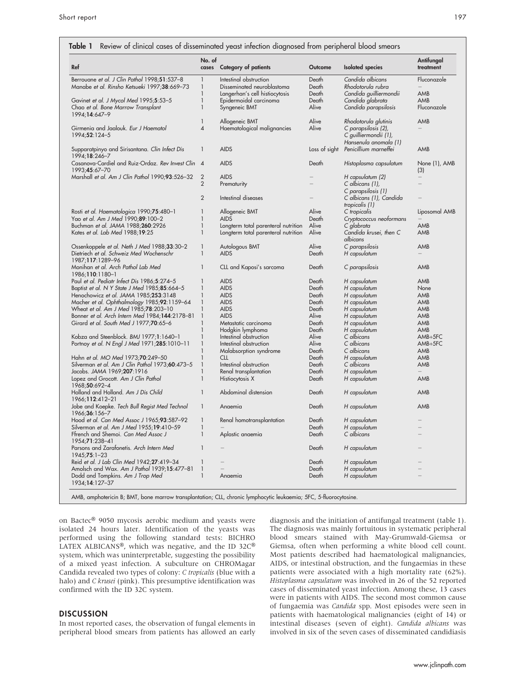| Ref                                                                          | No. of<br>cases | <b>Category of patients</b>         | Outcome       | <b>Isolated</b> species                                               | Antifungal<br>treatment |
|------------------------------------------------------------------------------|-----------------|-------------------------------------|---------------|-----------------------------------------------------------------------|-------------------------|
| Berrouane <i>et al. J Clin Pathol</i> 1998; <b>51</b> :537–8                 | 1               | Intestinal obstruction              | Death         | Candida albicans                                                      | Fluconazole             |
| Manabe et al. Rinsho Ketsueki 1997;38:669-73                                 | $\mathbf{1}$    | Disseminated neuroblastoma          | Death         | Rhodotorula rubra                                                     |                         |
|                                                                              |                 |                                     |               |                                                                       |                         |
|                                                                              | 1               | Langerhan's cell histiocytosis      | Death         | Candida guilliermondii                                                | AMB                     |
| Gavinet et al. J Mycol Med 1995;5:53-5                                       | $\mathbf{1}$    | Epidermoidal carcinoma              | Death         | Candida glabrata                                                      | AMB                     |
| Chao et al. Bone Marrow Transplant<br>1994;14:647-9                          | $\mathbf{1}$    | Syngeneic BMT                       | Alive         | Candida parapsilosis                                                  | Fluconazole             |
|                                                                              | 1               | Allogeneic BMT                      | Alive         | Rhodotorula glutinis                                                  | AMB                     |
| Girmenia and Jaalouk. Eur J Haematol<br>1994;52:124-5                        | 4               | Haematological malignancies         | Alive         | C parapsilosis (2),<br>C guilliermondii (1),<br>Hansenula anomala (1) |                         |
| Supparatpinyo and Sirisantana. Clin Infect Dis<br>1994;18:246-7              | $\mathbf{1}$    | <b>AIDS</b>                         | Loss of sight | Penicillium marneffei                                                 | AMB                     |
| Casanova-Cardiel and Ruiz-Ordaz. Rev Invest Clin 4<br>1993;45:67-70          |                 | <b>AIDS</b>                         | Death         | Histoplasma capsulatum                                                | None (1), AMB<br>(3)    |
| Marshall et al. Am J Clin Pathol 1990; <b>93</b> :526–32                     | $\overline{2}$  | <b>AIDS</b>                         |               | H capsulatum (2)                                                      |                         |
|                                                                              | $\overline{2}$  | Prematurity                         |               | C albicans (1),<br>C parapsilosis (1)                                 |                         |
|                                                                              | $\overline{2}$  | Intestinal diseases                 |               | C albicans (1), Candida                                               |                         |
|                                                                              |                 |                                     |               | tropicalis (1)                                                        |                         |
| Rosti et al. Haematologica 1990;75:480-1                                     | 1               | Allogeneic BMT                      | Alive         | C tropicalis                                                          | Liposomal AMB           |
| Yao et al. Am J Med 1990; <b>89</b> :100–2                                   | $\mathbf{1}$    | <b>AIDS</b>                         | Death         | Cryptococcus neoformans                                               |                         |
| Buchman et al. JAMA 1988;260:2926                                            | $\mathbf{1}$    | Longterm total parenteral nutrition | Alive         | C glabrata                                                            | AMB                     |
| Kates <i>et al. Lab Med</i> 1988; <b>19</b> :25                              | $\mathbf{1}$    | Longterm total parenteral nutrition | Alive         | Candida krusei, then C<br>albicans                                    | AMB                     |
| Ossenkoppele et al. Neth J Med 1988;33:30-2                                  | $\mathbf{1}$    | Autologous BMT                      | Alive         | C parapsilosis                                                        | AMB                     |
| Dietriech et al. Schweiz Med Wochenschr<br>1987;117:1289-96                  | $\mathbf{1}$    | <b>AIDS</b>                         | Death         | H capsulatum                                                          |                         |
| Monihan et al. Arch Pathol Lab Med<br>1986;110:1180-1                        | 1               | CLL and Kaposi's sarcoma            | Death         | C parapsilosis                                                        | AMB                     |
| Paul et al. Pediatr Infect Dis 1986;5:274-5                                  | 1               | <b>AIDS</b>                         | Death         | H capsulatum                                                          | AMB                     |
|                                                                              | 1               |                                     |               |                                                                       |                         |
| Baptist et al. N Y State J Med 1985;85:664-5                                 |                 | <b>AIDS</b>                         | Death         | H capsulatum                                                          | None                    |
| Henochowicz <i>et al. JAMA</i> 1985; <b>253</b> :3148                        | 1               | <b>AIDS</b>                         | Death         | H capsulatum                                                          | AMB                     |
| Macher et al. Ophthalmology 1985;92:1159-64                                  | 1               | <b>AIDS</b>                         | Death         | H capsulatum                                                          | AMB                     |
| Wheat et al. Am J Med 1985;78:203-10                                         | 1               | <b>AIDS</b>                         | Death         | H capsulatum                                                          | AMB                     |
| Bonner et al. Arch Intern Med 1984;144:2178-81                               | 1               | <b>AIDS</b>                         | Alive         | H capsulatum                                                          | AMB                     |
| Girard et al. South Med J 1977;70:65-6                                       |                 | Metastatic carcinoma                | Death         | H capsulatum                                                          | AMB                     |
|                                                                              | 1               | Hodgkin lymphoma                    | Death         | H capsulatum                                                          | AMB                     |
|                                                                              | $\mathbf{1}$    |                                     | Alive         | C albicans                                                            |                         |
| Kobza and Steenblock. BMJ 1977;1:1640–1                                      |                 | Intestinal obstruction              |               |                                                                       | $AMB+5FC$               |
| Portnoy et al. N Engl J Med 1971; <b>285</b> :1010–11                        | 1               | Intestinal obstruction              | Alive         | C albicans                                                            | $AMB+5FC$               |
|                                                                              | $\mathbf{1}$    | Malabsorption syndrome              | Death         | C albicans                                                            | AMB                     |
| Hahn et al. MO Med 1973; <b>70</b> :249-50                                   | 1               | <b>CLL</b>                          | Death         | H capsulatum                                                          | AMB                     |
| Silverman et al. Am J Clin Pathol 1973;60:473-5                              | 1               | Intestinal obstruction              | Death         | C albicans                                                            | AMB                     |
| Jacobs. JAMA 1969;207:1916                                                   | $\mathbf{1}$    | Renal transplantation               | Death         | H capsulatum                                                          |                         |
| Lopez and Grocott. Am J Clin Pathol<br>1968;50:692-4                         | $\mathbf{1}$    | Histiocytosis X                     | Death         | H capsulatum                                                          | AMB                     |
| Holland and Holland. Am J Dis Child<br>1966;112:412-21                       | $\mathbf{1}$    | Abdominal distension                | Death         | H capsulatum                                                          | AMB                     |
| Jobe and Koepke. Tech Bull Regist Med Technol<br>1966;36:156-7               | $\mathbf{1}$    | Anaemia                             | Death         | H capsulatum                                                          | AMB                     |
| Hood et al. Can Med Assoc J 1965;93:587-92                                   | 1               | Renal homotransplantation           | Death         | H capsulatum                                                          |                         |
| Silverman <i>et al. Am J Med</i> 1955; <b>19</b> :410–59                     | 1               |                                     | Death         | H capsulatum                                                          |                         |
| Ffrench and Shemoi. Can Med Assoc J                                          | $\mathbf{1}$    | Aplastic anaemia                    | Death         | C albicans                                                            |                         |
| 1954;71:238-41<br>Parsons and Zarafonetis. Arch Intern Med<br>$1945:75:1-23$ |                 |                                     | Death         | H capsulatum                                                          |                         |
|                                                                              |                 |                                     |               |                                                                       |                         |
| Reid et al. J Lab Clin Med 1942;27:419-34                                    | 1               |                                     | Death         | H capsulatum                                                          |                         |
| Amolsch and Wax. Am J Pathol 1939;15:477-81                                  | $\mathbf{1}$    |                                     | Death         | H capsulatum                                                          |                         |
| Dodd and Tompkins. Am J Trop Med<br>1934;14:127-37                           | $\mathbf{1}$    | Anaemia                             | Death         | H capsulatum                                                          |                         |

on Bactec® 9050 mycosis aerobic medium and yeasts were isolated 24 hours later. Identification of the yeasts was performed using the following standard tests: BICHRO LATEX ALBICANS®, which was negative, and the ID 32 $C^{\circledast}$ system, which was uninterpretable, suggesting the possibility of a mixed yeast infection. A subculture on CHROMagar Candida revealed two types of colony: C tropicalis (blue with a halo) and C krusei (pink). This presumptive identification was confirmed with the ID 32C system.

#### **DISCUSSION**

In most reported cases, the observation of fungal elements in peripheral blood smears from patients has allowed an early diagnosis and the initiation of antifungal treatment (table 1). The diagnosis was mainly fortuitous in systematic peripheral blood smears stained with May-Grumwald-Giemsa or Giemsa, often when performing a white blood cell count. Most patients described had haematological malignancies, AIDS, or intestinal obstruction, and the fungaemias in these patients were associated with a high mortality rate (62%). Histoplasma capsulatum was involved in 26 of the 52 reported cases of disseminated yeast infection. Among these, 13 cases were in patients with AIDS. The second most common cause of fungaemia was Candida spp. Most episodes were seen in patients with haematological malignancies (eight of 14) or intestinal diseases (seven of eight). Candida albicans was involved in six of the seven cases of disseminated candidiasis